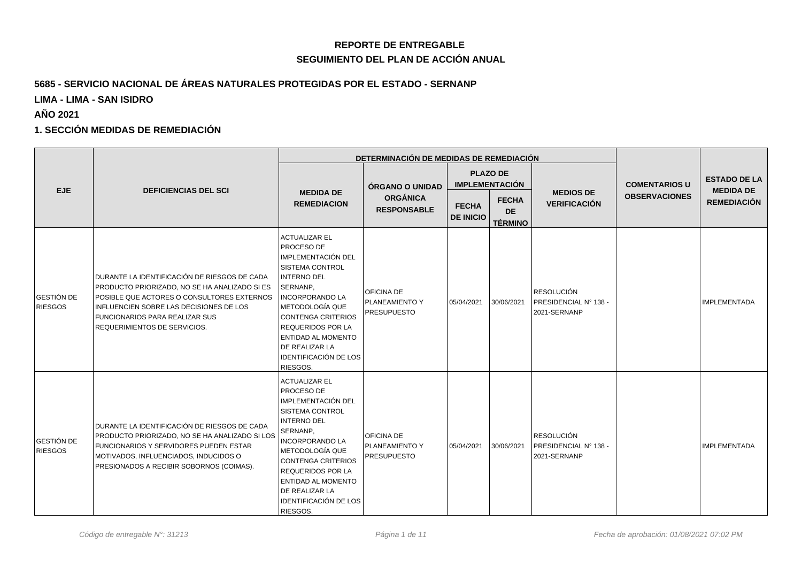## **REPORTE DE ENTREGABLE SEGUIMIENTO DEL PLAN DE ACCIÓN ANUAL**

### **5685 - SERVICIO NACIONAL DE ÁREAS NATURALES PROTEGIDAS POR EL ESTADO - SERNANP**

**LIMA - LIMA - SAN ISIDRO**

**AÑO 2021**

#### **1. SECCIÓN MEDIDAS DE REMEDIACIÓN**

|                                     |                                                                                                                                                                                                                                                          |                                                                                                                                                                                                                                                                                                                        | DETERMINACIÓN DE MEDIDAS DE REMEDIACIÓN                         |                                          |                                             |                                                                   |                      |                                         |
|-------------------------------------|----------------------------------------------------------------------------------------------------------------------------------------------------------------------------------------------------------------------------------------------------------|------------------------------------------------------------------------------------------------------------------------------------------------------------------------------------------------------------------------------------------------------------------------------------------------------------------------|-----------------------------------------------------------------|------------------------------------------|---------------------------------------------|-------------------------------------------------------------------|----------------------|-----------------------------------------|
| <b>EJE</b>                          | <b>DEFICIENCIAS DEL SCI</b>                                                                                                                                                                                                                              |                                                                                                                                                                                                                                                                                                                        | <b>ÓRGANO O UNIDAD</b><br><b>ORGÁNICA</b><br><b>RESPONSABLE</b> | <b>PLAZO DE</b><br><b>IMPLEMENTACIÓN</b> |                                             |                                                                   | <b>COMENTARIOS U</b> | <b>ESTADO DE LA</b><br><b>MEDIDA DE</b> |
|                                     |                                                                                                                                                                                                                                                          | <b>MEDIDA DE</b><br><b>REMEDIACION</b>                                                                                                                                                                                                                                                                                 |                                                                 | <b>FECHA</b><br><b>DE INICIO</b>         | <b>FECHA</b><br><b>DE</b><br><b>TÉRMINO</b> | <b>MEDIOS DE</b><br><b>VERIFICACIÓN</b>                           | <b>OBSERVACIONES</b> | <b>REMEDIACIÓN</b>                      |
| <b>GESTIÓN DE</b><br><b>RIESGOS</b> | DURANTE LA IDENTIFICACIÓN DE RIESGOS DE CADA<br>PRODUCTO PRIORIZADO, NO SE HA ANALIZADO SI ES<br>POSIBLE QUE ACTORES O CONSULTORES EXTERNOS<br>INFLUENCIEN SOBRE LAS DECISIONES DE LOS<br>FUNCIONARIOS PARA REALIZAR SUS<br>REQUERIMIENTOS DE SERVICIOS. | <b>ACTUALIZAR EL</b><br><b>PROCESO DE</b><br>IMPLEMENTACIÓN DEL<br>SISTEMA CONTROL<br><b>INTERNO DEL</b><br>SERNANP,<br><b>INCORPORANDO LA</b><br> METODOLOGÍA QUE<br>CONTENGA CRITERIOS<br><b>REQUERIDOS POR LA</b><br>ENTIDAD AL MOMENTO<br>DE REALIZAR LA<br><b>IDENTIFICACIÓN DE LOS</b><br>RIESGOS.               | OFICINA DE<br>PLANEAMIENTO Y<br><b>PRESUPUESTO</b>              | 05/04/2021                               | 30/06/2021                                  | RESOLUCIÓN<br><b>PRESIDENCIAL Nº 138 -</b><br>2021-SERNANP        |                      | <b>IMPLEMENTADA</b>                     |
| <b>GESTIÓN DE</b><br><b>RIESGOS</b> | DURANTE LA IDENTIFICACIÓN DE RIESGOS DE CADA<br>PRODUCTO PRIORIZADO, NO SE HA ANALIZADO SI LOS<br>FUNCIONARIOS Y SERVIDORES PUEDEN ESTAR<br>MOTIVADOS, INFLUENCIADOS, INDUCIDOS O<br>PRESIONADOS A RECIBIR SOBORNOS (COIMAS).                            | <b>ACTUALIZAR EL</b><br><b>PROCESO DE</b><br>IMPLEMENTACIÓN DEL<br><b>SISTEMA CONTROL</b><br><b>INTERNO DEL</b><br>SERNANP,<br><b>INCORPORANDO LA</b><br> METODOLOGÍA QUE<br>CONTENGA CRITERIOS<br><b>REQUERIDOS POR LA</b><br><b>ENTIDAD AL MOMENTO</b><br>DE REALIZAR LA<br><b>IDENTIFICACIÓN DE LOS</b><br>RIESGOS. | OFICINA DE<br>PLANEAMIENTO Y<br><b>PRESUPUESTO</b>              | 05/04/2021                               | 30/06/2021                                  | <b>RESOLUCIÓN</b><br><b>PRESIDENCIAL Nº 138 -</b><br>2021-SERNANP |                      | <b>IMPLEMENTADA</b>                     |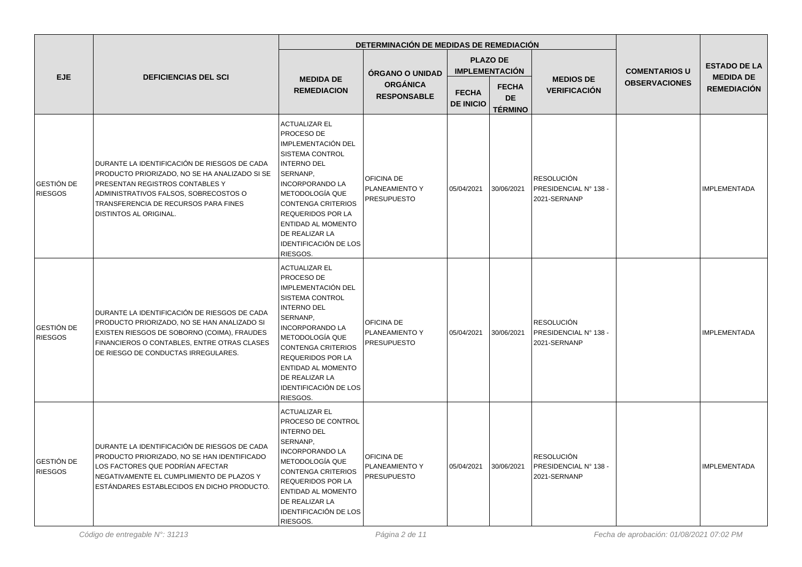|                              |                                                                                                                                                                                                                                             |                                                                                                                                                                                                                                                                                                                | DETERMINACIÓN DE MEDIDAS DE REMEDIACIÓN            |                                  |                                             |                                                            |                      |                                        |
|------------------------------|---------------------------------------------------------------------------------------------------------------------------------------------------------------------------------------------------------------------------------------------|----------------------------------------------------------------------------------------------------------------------------------------------------------------------------------------------------------------------------------------------------------------------------------------------------------------|----------------------------------------------------|----------------------------------|---------------------------------------------|------------------------------------------------------------|----------------------|----------------------------------------|
|                              | <b>DEFICIENCIAS DEL SCI</b>                                                                                                                                                                                                                 |                                                                                                                                                                                                                                                                                                                | ÓRGANO O UNIDAD                                    |                                  | <b>PLAZO DE</b><br><b>IMPLEMENTACIÓN</b>    |                                                            | <b>COMENTARIOS U</b> | <b>ESTADO DE LA</b>                    |
| <b>EJE</b>                   |                                                                                                                                                                                                                                             | <b>MEDIDA DE</b><br><b>REMEDIACION</b>                                                                                                                                                                                                                                                                         | <b>ORGÁNICA</b><br><b>RESPONSABLE</b>              | <b>FECHA</b><br><b>DE INICIO</b> | <b>FECHA</b><br><b>DE</b><br><b>TÉRMINO</b> | <b>MEDIOS DE</b><br><b>VERIFICACIÓN</b>                    | <b>OBSERVACIONES</b> | <b>MEDIDA DE</b><br><b>REMEDIACIÓN</b> |
| GESTIÓN DE<br><b>RIESGOS</b> | DURANTE LA IDENTIFICACIÓN DE RIESGOS DE CADA<br>PRODUCTO PRIORIZADO, NO SE HA ANALIZADO SI SE<br>PRESENTAN REGISTROS CONTABLES Y<br>ADMINISTRATIVOS FALSOS, SOBRECOSTOS O<br>TRANSFERENCIA DE RECURSOS PARA FINES<br>DISTINTOS AL ORIGINAL. | <b>ACTUALIZAR EL</b><br>PROCESO DE<br>IMPLEMENTACIÓN DEL<br><b>SISTEMA CONTROL</b><br><b>INTERNO DEL</b><br>SERNANP,<br><b>INCORPORANDO LA</b><br>METODOLOGÍA QUE<br><b>CONTENGA CRITERIOS</b><br><b>REQUERIDOS POR LA</b><br>ENTIDAD AL MOMENTO<br>DE REALIZAR LA<br><b>IDENTIFICACIÓN DE LOS</b><br>RIESGOS. | OFICINA DE<br>PLANEAMIENTO Y<br><b>PRESUPUESTO</b> | 05/04/2021                       | 30/06/2021                                  | <b>RESOLUCIÓN</b><br>PRESIDENCIAL N° 138 -<br>2021-SERNANP |                      | <b>IMPLEMENTADA</b>                    |
| GESTIÓN DE<br><b>RIESGOS</b> | DURANTE LA IDENTIFICACIÓN DE RIESGOS DE CADA<br>PRODUCTO PRIORIZADO, NO SE HAN ANALIZADO SI<br>EXISTEN RIESGOS DE SOBORNO (COIMA), FRAUDES<br>FINANCIEROS O CONTABLES, ENTRE OTRAS CLASES<br>DE RIESGO DE CONDUCTAS IRREGULARES.            | <b>ACTUALIZAR EL</b><br>PROCESO DE<br>IMPLEMENTACIÓN DEL<br><b>SISTEMA CONTROL</b><br><b>INTERNO DEL</b><br>SERNANP,<br><b>INCORPORANDO LA</b><br>METODOLOGÍA QUE<br><b>CONTENGA CRITERIOS</b><br><b>REQUERIDOS POR LA</b><br>ENTIDAD AL MOMENTO<br>DE REALIZAR LA<br><b>IDENTIFICACIÓN DE LOS</b><br>RIESGOS. | OFICINA DE<br>PLANEAMIENTO Y<br><b>PRESUPUESTO</b> | 05/04/2021                       | 30/06/2021                                  | <b>RESOLUCIÓN</b><br>PRESIDENCIAL N° 138 -<br>2021-SERNANP |                      | <b>IMPLEMENTADA</b>                    |
| GESTIÓN DE<br><b>RIESGOS</b> | DURANTE LA IDENTIFICACIÓN DE RIESGOS DE CADA<br>PRODUCTO PRIORIZADO, NO SE HAN IDENTIFICADO<br>LOS FACTORES QUE PODRÍAN AFECTAR<br>NEGATIVAMENTE EL CUMPLIMIENTO DE PLAZOS Y<br>ESTÁNDARES ESTABLECIDOS EN DICHO PRODUCTO.                  | <b>ACTUALIZAR EL</b><br>PROCESO DE CONTROL<br><b>INTERNO DEL</b><br>SERNANP,<br><b>INCORPORANDO LA</b><br><b>METODOLOGÍA QUE</b><br><b>CONTENGA CRITERIOS</b><br><b>REQUERIDOS POR LA</b><br>ENTIDAD AL MOMENTO<br>DE REALIZAR LA<br><b>IDENTIFICACIÓN DE LOS</b><br>RIESGOS.                                  | OFICINA DE<br>PLANEAMIENTO Y<br><b>PRESUPUESTO</b> | 05/04/2021                       | 30/06/2021                                  | <b>RESOLUCIÓN</b><br>PRESIDENCIAL N° 138 -<br>2021-SERNANP |                      | <b>IMPLEMENTADA</b>                    |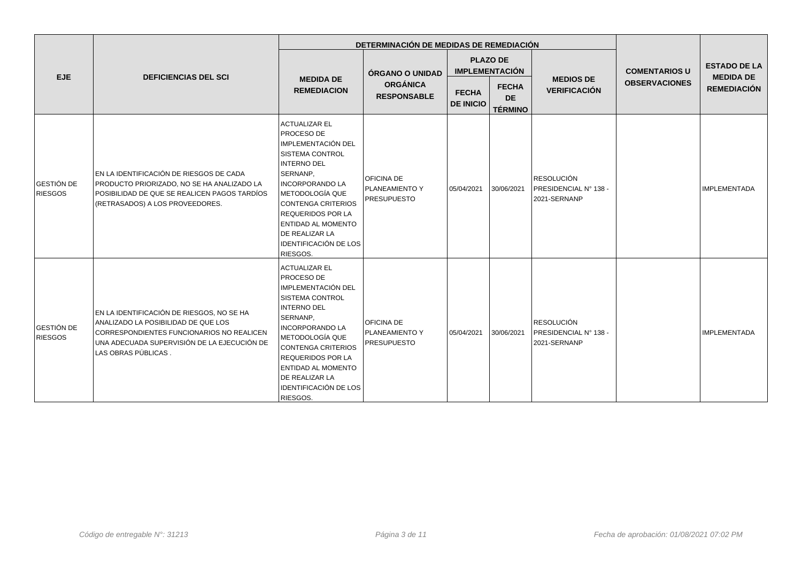|                                     |                                                                                                                                                                                                     |                                                                                                                                                                                                                                                                                                                                | DETERMINACIÓN DE MEDIDAS DE REMEDIACIÓN                          |                                          |                                             |                                                            |                                              |                                         |
|-------------------------------------|-----------------------------------------------------------------------------------------------------------------------------------------------------------------------------------------------------|--------------------------------------------------------------------------------------------------------------------------------------------------------------------------------------------------------------------------------------------------------------------------------------------------------------------------------|------------------------------------------------------------------|------------------------------------------|---------------------------------------------|------------------------------------------------------------|----------------------------------------------|-----------------------------------------|
| <b>EJE</b>                          | <b>DEFICIENCIAS DEL SCI</b>                                                                                                                                                                         |                                                                                                                                                                                                                                                                                                                                | ÓRGANO O UNIDAD                                                  | <b>PLAZO DE</b><br><b>IMPLEMENTACIÓN</b> |                                             |                                                            | <b>COMENTARIOS U</b><br><b>OBSERVACIONES</b> | <b>ESTADO DE LA</b><br><b>MEDIDA DE</b> |
|                                     |                                                                                                                                                                                                     | <b>MEDIDA DE</b><br><b>ORGÁNICA</b><br><b>REMEDIACION</b><br><b>RESPONSABLE</b>                                                                                                                                                                                                                                                |                                                                  | <b>FECHA</b><br><b>DE INICIO</b>         | <b>FECHA</b><br><b>DE</b><br><b>TÉRMINO</b> | <b>MEDIOS DE</b><br><b>VERIFICACIÓN</b>                    |                                              | <b>REMEDIACIÓN</b>                      |
| <b>GESTIÓN DE</b><br><b>RIESGOS</b> | EN LA IDENTIFICACIÓN DE RIESGOS DE CADA<br>PRODUCTO PRIORIZADO, NO SE HA ANALIZADO LA<br>POSIBILIDAD DE QUE SE REALICEN PAGOS TARDÍOS<br>(RETRASADOS) A LOS PROVEEDORES.                            | <b>ACTUALIZAR EL</b><br><b>PROCESO DE</b><br>IMPLEMENTACIÓN DEL<br><b>SISTEMA CONTROL</b><br><b>INTERNO DEL</b><br>SERNANP,<br><b>INCORPORANDO LA</b><br>  METODOLOGÍA QUE<br>CONTENGA CRITERIOS<br><b>REQUERIDOS POR LA</b><br><b>ENTIDAD AL MOMENTO</b><br><b>DE REALIZAR LA</b><br><b>IDENTIFICACIÓN DE LOS</b><br>RIESGOS. | <b>OFICINA DE</b><br><b>PLANEAMIENTO Y</b><br><b>PRESUPUESTO</b> | 05/04/2021                               | 30/06/2021                                  | <b>RESOLUCIÓN</b><br>PRESIDENCIAL N° 138 -<br>2021-SERNANP |                                              | <b>IMPLEMENTADA</b>                     |
| <b>GESTIÓN DE</b><br><b>RIESGOS</b> | EN LA IDENTIFICACIÓN DE RIESGOS, NO SE HA<br>ANALIZADO LA POSIBILIDAD DE QUE LOS<br>CORRESPONDIENTES FUNCIONARIOS NO REALICEN<br>UNA ADECUADA SUPERVISIÓN DE LA EJECUCIÓN DE<br>LAS OBRAS PÚBLICAS. | <b>ACTUALIZAR EL</b><br>PROCESO DE<br>IMPLEMENTACIÓN DEL<br><b>SISTEMA CONTROL</b><br><b>INTERNO DEL</b><br>SERNANP,<br><b>INCORPORANDO LA</b><br>METODOLOGÍA QUE<br><b>CONTENGA CRITERIOS</b><br><b>REQUERIDOS POR LA</b><br><b>ENTIDAD AL MOMENTO</b><br><b>DE REALIZAR LA</b><br><b>IDENTIFICACIÓN DE LOS</b><br>RIESGOS.   | <b>OFICINA DE</b><br><b>PLANEAMIENTO Y</b><br><b>PRESUPUESTO</b> | 05/04/2021                               | 30/06/2021                                  | <b>RESOLUCIÓN</b><br>PRESIDENCIAL N° 138 -<br>2021-SERNANP |                                              | IMPLEMENTADA                            |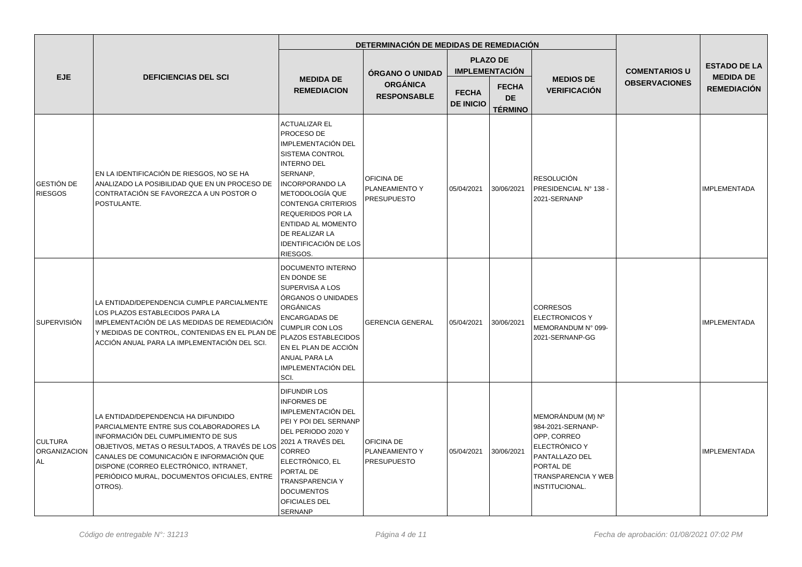|                                      |                                                                                                                                                                                                                                                                                                                           |                                                                                                                                                                                                                                                                                                                                     | DETERMINACIÓN DE MEDIDAS DE REMEDIACIÓN            |                                  |                                             |                                                                                                                                                              |                      |                                        |
|--------------------------------------|---------------------------------------------------------------------------------------------------------------------------------------------------------------------------------------------------------------------------------------------------------------------------------------------------------------------------|-------------------------------------------------------------------------------------------------------------------------------------------------------------------------------------------------------------------------------------------------------------------------------------------------------------------------------------|----------------------------------------------------|----------------------------------|---------------------------------------------|--------------------------------------------------------------------------------------------------------------------------------------------------------------|----------------------|----------------------------------------|
|                                      |                                                                                                                                                                                                                                                                                                                           |                                                                                                                                                                                                                                                                                                                                     | ÓRGANO O UNIDAD                                    |                                  | <b>PLAZO DE</b><br><b>IMPLEMENTACIÓN</b>    |                                                                                                                                                              | <b>COMENTARIOS U</b> | <b>ESTADO DE LA</b>                    |
| EJE                                  | <b>DEFICIENCIAS DEL SCI</b>                                                                                                                                                                                                                                                                                               | <b>MEDIDA DE</b><br><b>REMEDIACION</b>                                                                                                                                                                                                                                                                                              | <b>ORGÁNICA</b><br><b>RESPONSABLE</b>              | <b>FECHA</b><br><b>DE INICIO</b> | <b>FECHA</b><br><b>DE</b><br><b>TÉRMINO</b> | <b>MEDIOS DE</b><br><b>VERIFICACIÓN</b>                                                                                                                      | <b>OBSERVACIONES</b> | <b>MEDIDA DE</b><br><b>REMEDIACIÓN</b> |
| GESTIÓN DE<br><b>RIESGOS</b>         | EN LA IDENTIFICACIÓN DE RIESGOS, NO SE HA<br>ANALIZADO LA POSIBILIDAD QUE EN UN PROCESO DE<br>CONTRATACIÓN SE FAVOREZCA A UN POSTOR O<br>POSTULANTE.                                                                                                                                                                      | <b>ACTUALIZAR EL</b><br><b>PROCESO DE</b><br>IMPLEMENTACIÓN DEL<br><b>SISTEMA CONTROL</b><br><b>INTERNO DEL</b><br>SERNANP,<br><b>INCORPORANDO LA</b><br><b>METODOLOGÍA QUE</b><br>CONTENGA CRITERIOS<br><b>REQUERIDOS POR LA</b><br><b>ENTIDAD AL MOMENTO</b><br><b>DE REALIZAR LA</b><br><b>IDENTIFICACIÓN DE LOS</b><br>RIESGOS. | OFICINA DE<br>PLANEAMIENTO Y<br><b>PRESUPUESTO</b> | 05/04/2021                       | 30/06/2021                                  | <b>RESOLUCIÓN</b><br>PRESIDENCIAL N° 138 -<br>2021-SERNANP                                                                                                   |                      | <b>IMPLEMENTADA</b>                    |
| SUPERVISIÓN                          | LA ENTIDAD/DEPENDENCIA CUMPLE PARCIALMENTE<br>LOS PLAZOS ESTABLECIDOS PARA LA<br>IMPLEMENTACIÓN DE LAS MEDIDAS DE REMEDIACIÓN<br>Y MEDIDAS DE CONTROL, CONTENIDAS EN EL PLAN DE<br>ACCIÓN ANUAL PARA LA IMPLEMENTACIÓN DEL SCI.                                                                                           | DOCUMENTO INTERNO<br>EN DONDE SE<br>SUPERVISA A LOS<br>ÓRGANOS O UNIDADES<br>ORGÁNICAS<br><b>ENCARGADAS DE</b><br><b>CUMPLIR CON LOS</b><br>PLAZOS ESTABLECIDOS<br>EN EL PLAN DE ACCIÓN<br>ANUAL PARA LA<br><b>IMPLEMENTACIÓN DEL</b><br>SCI.                                                                                       | <b>GERENCIA GENERAL</b>                            | 05/04/2021                       | 30/06/2021                                  | <b>CORRESOS</b><br><b>ELECTRONICOS Y</b><br>MEMORANDUM N° 099-<br>2021-SERNANP-GG                                                                            |                      | <b>IMPLEMENTADA</b>                    |
| <b>CULTURA</b><br>ORGANIZACION<br>AL | LA ENTIDAD/DEPENDENCIA HA DIFUNDIDO<br>PARCIALMENTE ENTRE SUS COLABORADORES LA<br>INFORMACIÓN DEL CUMPLIMIENTO DE SUS<br>OBJETIVOS, METAS O RESULTADOS, A TRAVÉS DE LOS<br>CANALES DE COMUNICACIÓN E INFORMACIÓN QUE<br>DISPONE (CORREO ELECTRÓNICO, INTRANET,<br>PERIÓDICO MURAL, DOCUMENTOS OFICIALES, ENTRE<br>OTROS). | <b>DIFUNDIR LOS</b><br><b>INFORMES DE</b><br>IMPLEMENTACIÓN DEL<br>PEI Y POI DEL SERNANP<br>DEL PERIODO 2020 Y<br>2021 A TRAVÉS DEL<br>CORREO<br>ELECTRÓNICO, EL<br>PORTAL DE<br><b>TRANSPARENCIA Y</b><br><b>DOCUMENTOS</b><br>OFICIALES DEL<br><b>SERNANP</b>                                                                     | OFICINA DE<br>PLANEAMIENTO Y<br><b>PRESUPUESTO</b> | 05/04/2021                       | 30/06/2021                                  | MEMORÁNDUM (M) Nº<br>984-2021-SERNANP-<br>OPP, CORREO<br>ELECTRÓNICO Y<br>PANTALLAZO DEL<br><b>PORTAL DE</b><br><b>TRANSPARENCIA Y WEB</b><br>INSTITUCIONAL. |                      | <b>IMPLEMENTADA</b>                    |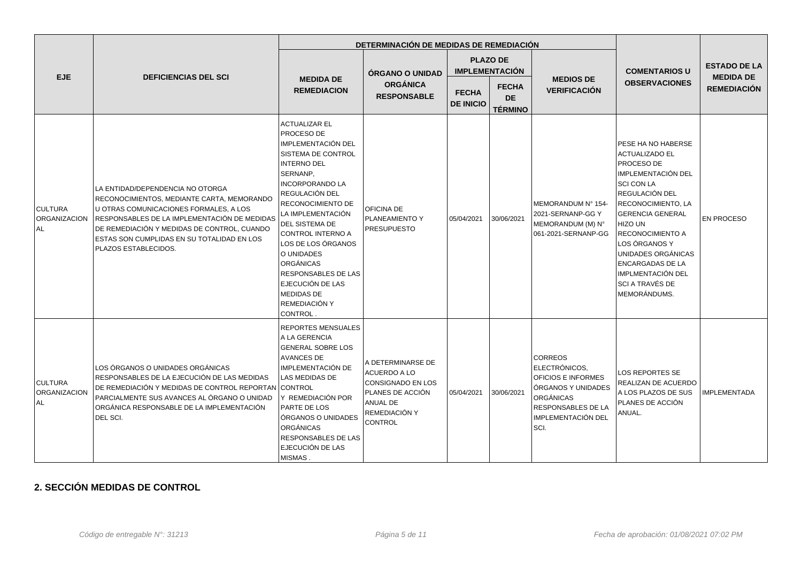|                                             |                                                                                                                                                                                                                                                                                               |                                                                                                                                                                                                                                                                                                                                                                                                                 | DETERMINACIÓN DE MEDIDAS DE REMEDIACIÓN                                                                                          |                                  |                                                                                         |                                                                                                                                                     |                                                                                                                                                                                                                                                                                                                                                                            |                                                               |
|---------------------------------------------|-----------------------------------------------------------------------------------------------------------------------------------------------------------------------------------------------------------------------------------------------------------------------------------------------|-----------------------------------------------------------------------------------------------------------------------------------------------------------------------------------------------------------------------------------------------------------------------------------------------------------------------------------------------------------------------------------------------------------------|----------------------------------------------------------------------------------------------------------------------------------|----------------------------------|-----------------------------------------------------------------------------------------|-----------------------------------------------------------------------------------------------------------------------------------------------------|----------------------------------------------------------------------------------------------------------------------------------------------------------------------------------------------------------------------------------------------------------------------------------------------------------------------------------------------------------------------------|---------------------------------------------------------------|
| <b>EJE</b>                                  | <b>DEFICIENCIAS DEL SCI</b>                                                                                                                                                                                                                                                                   | <b>ÓRGANO O UNIDAD</b><br><b>MEDIDA DE</b><br><b>REMEDIACION</b>                                                                                                                                                                                                                                                                                                                                                |                                                                                                                                  | <b>FECHA</b><br><b>DE INICIO</b> | <b>PLAZO DE</b><br><b>IMPLEMENTACIÓN</b><br><b>FECHA</b><br><b>DE</b><br><b>TÉRMINO</b> | <b>MEDIOS DE</b><br><b>VERIFICACIÓN</b>                                                                                                             | <b>COMENTARIOS U</b><br><b>OBSERVACIONES</b>                                                                                                                                                                                                                                                                                                                               | <b>ESTADO DE LA</b><br><b>MEDIDA DE</b><br><b>REMEDIACIÓN</b> |
| <b>CULTURA</b><br>ORGANIZACION<br>AL        | LA ENTIDAD/DEPENDENCIA NO OTORGA<br>RECONOCIMIENTOS, MEDIANTE CARTA, MEMORANDO<br>U OTRAS COMUNICACIONES FORMALES, A LOS<br>RESPONSABLES DE LA IMPLEMENTACIÓN DE MEDIDAS<br>DE REMEDIACIÓN Y MEDIDAS DE CONTROL, CUANDO<br>ESTAS SON CUMPLIDAS EN SU TOTALIDAD EN LOS<br>PLAZOS ESTABLECIDOS. | <b>ACTUALIZAR EL</b><br>PROCESO DE<br><b>IMPLEMENTACIÓN DEL</b><br>SISTEMA DE CONTROL<br><b>INTERNO DEL</b><br>SERNANP,<br><b>INCORPORANDO LA</b><br>REGULACIÓN DEL<br>RECONOCIMIENTO DE<br>LA IMPLEMENTACIÓN<br>DEL SISTEMA DE<br>CONTROL INTERNO A<br>LOS DE LOS ÓRGANOS<br>O UNIDADES<br><b>ORGÁNICAS</b><br><b>RESPONSABLES DE LAS</b><br>EJECUCIÓN DE LAS<br>MEDIDAS DE<br>REMEDIACIÓN Y<br><b>CONTROL</b> | OFICINA DE<br>PLANEAMIENTO Y<br><b>PRESUPUESTO</b>                                                                               | 05/04/2021                       | 30/06/2021                                                                              | MEMORANDUM Nº 154-<br>2021-SERNANP-GG Y<br>MEMORANDUM (M) N°<br>061-2021-SERNANP-GG                                                                 | <b>PESE HA NO HABERSE</b><br><b>ACTUALIZADO EL</b><br><b>PROCESO DE</b><br>IMPLEMENTACIÓN DEL<br><b>SCI CON LA</b><br><b>REGULACIÓN DEL</b><br>RECONOCIMIENTO, LA<br><b>GERENCIA GENERAL</b><br>HIZO UN<br>RECONOCIMIENTO A<br>LOS ÓRGANOS Y<br><b>UNIDADES ORGÁNICAS</b><br><b>ENCARGADAS DE LA</b><br><b>IMPLMENTACIÓN DEL</b><br><b>SCI A TRAVÉS DE</b><br>MEMORÁNDUMS. | <b>EN PROCESO</b>                                             |
| <b>CULTURA</b><br>ORGANIZACION<br><b>AL</b> | LOS ÓRGANOS O UNIDADES ORGÁNICAS<br>RESPONSABLES DE LA EJECUCIÓN DE LAS MEDIDAS<br>DE REMEDIACIÓN Y MEDIDAS DE CONTROL REPORTAN<br>PARCIALMENTE SUS AVANCES AL ÓRGANO O UNIDAD<br>ORGÁNICA RESPONSABLE DE LA IMPLEMENTACIÓN<br>DEL SCI.                                                       | <b>REPORTES MENSUALES</b><br>A LA GERENCIA<br><b>GENERAL SOBRE LOS</b><br><b>AVANCES DE</b><br><b>IMPLEMENTACIÓN DE</b><br>LAS MEDIDAS DE<br><b>CONTROL</b><br>Y REMEDIACIÓN POR<br>PARTE DE LOS<br>ÓRGANOS O UNIDADES<br><b>ORGÁNICAS</b><br>RESPONSABLES DE LAS<br>EJECUCIÓN DE LAS<br>MISMAS.                                                                                                                | A DETERMINARSE DE<br><b>ACUERDO A LO</b><br>CONSIGNADO EN LOS<br>PLANES DE ACCIÓN<br>ANUAL DE<br>REMEDIACIÓN Y<br><b>CONTROL</b> | 05/04/2021                       | 30/06/2021                                                                              | <b>CORREOS</b><br>ELECTRÓNICOS,<br>OFICIOS E INFORMES<br>ÓRGANOS Y UNIDADES<br><b>ORGÁNICAS</b><br>RESPONSABLES DE LA<br>IMPLEMENTACIÓN DEL<br>SCI. | <b>LOS REPORTES SE</b><br>REALIZAN DE ACUERDO<br>A LOS PLAZOS DE SUS<br>PLANES DE ACCIÓN<br>ANUAL.                                                                                                                                                                                                                                                                         | <b>IMPLEMENTADA</b>                                           |

# **2. SECCIÓN MEDIDAS DE CONTROL**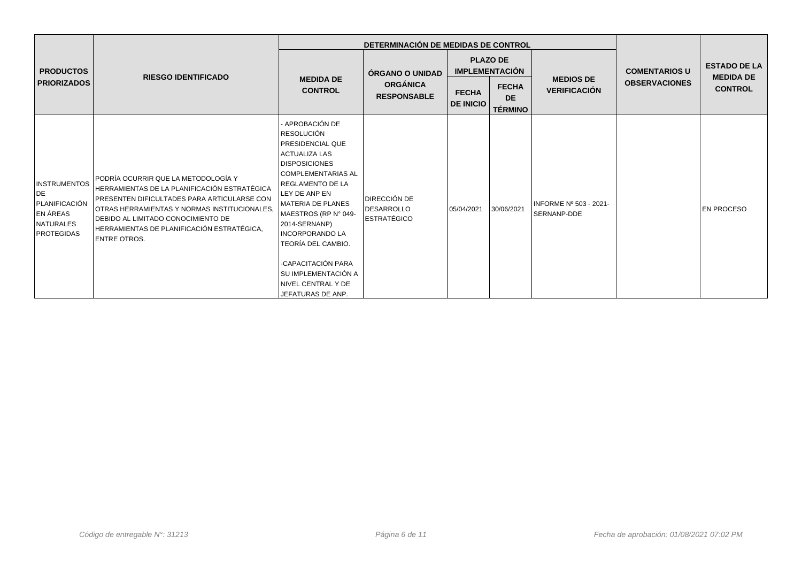|                                                                                                 |                                                                                                                                                                                                                                                                                                        |                                                                                                                                                                                                                                                                                                                                                                                               | DETERMINACIÓN DE MEDIDAS DE CONTROL                      |                                  |                                                                                         |                                         |                                              |                                                           |
|-------------------------------------------------------------------------------------------------|--------------------------------------------------------------------------------------------------------------------------------------------------------------------------------------------------------------------------------------------------------------------------------------------------------|-----------------------------------------------------------------------------------------------------------------------------------------------------------------------------------------------------------------------------------------------------------------------------------------------------------------------------------------------------------------------------------------------|----------------------------------------------------------|----------------------------------|-----------------------------------------------------------------------------------------|-----------------------------------------|----------------------------------------------|-----------------------------------------------------------|
| <b>PRODUCTOS</b><br><b>PRIORIZADOS</b>                                                          | <b>RIESGO IDENTIFICADO</b>                                                                                                                                                                                                                                                                             | <b>MEDIDA DE</b><br><b>CONTROL</b>                                                                                                                                                                                                                                                                                                                                                            | ÓRGANO O UNIDAD<br><b>ORGÁNICA</b><br><b>RESPONSABLE</b> | <b>FECHA</b><br><b>DE INICIO</b> | <b>PLAZO DE</b><br><b>IMPLEMENTACIÓN</b><br><b>FECHA</b><br><b>DE</b><br><b>TÉRMINO</b> | <b>MEDIOS DE</b><br><b>VERIFICACIÓN</b> | <b>COMENTARIOS U</b><br><b>OBSERVACIONES</b> | <b>ESTADO DE LA</b><br><b>MEDIDA DE</b><br><b>CONTROL</b> |
| <b>INSTRUMENTOS</b><br>DE<br>PLANIFICACIÓN<br><b>EN ÁREAS</b><br>NATURALES<br><b>PROTEGIDAS</b> | PODRÍA OCURRIR QUE LA METODOLOGÍA Y<br>HERRAMIENTAS DE LA PLANIFICACIÓN ESTRATÉGICA<br><b>PRESENTEN DIFICULTADES PARA ARTICULARSE CON</b><br>OTRAS HERRAMIENTAS Y NORMAS INSTITUCIONALES.<br>I DEBIDO AL LIMITADO CONOCIMIENTO DE<br>HERRAMIENTAS DE PLANIFICACIÓN ESTRATÉGICA,<br><b>ENTRE OTROS.</b> | - APROBACIÓN DE<br><b>RESOLUCIÓN</b><br><b>PRESIDENCIAL QUE</b><br><b>ACTUALIZA LAS</b><br><b>IDISPOSICIONES</b><br>  COMPLEMENTARIAS AL<br><b>IREGLAMENTO DE LA</b><br>LEY DE ANP EN<br>MATERIA DE PLANES<br>MAESTROS (RP N° 049-<br>2014-SERNANP)<br><b>INCORPORANDO LA</b><br>TEORÍA DEL CAMBIO.<br>-CAPACITACIÓN PARA<br>SU IMPLEMENTACIÓN A<br>I NIVEL CENTRAL Y DE<br>JEFATURAS DE ANP. | DIRECCIÓN DE<br><b>DESARROLLO</b><br><b>ESTRATÉGICO</b>  | 05/04/2021                       | 30/06/2021                                                                              | INFORME Nº 503 - 2021-<br>SERNANP-DDE   |                                              | <b>EN PROCESO</b>                                         |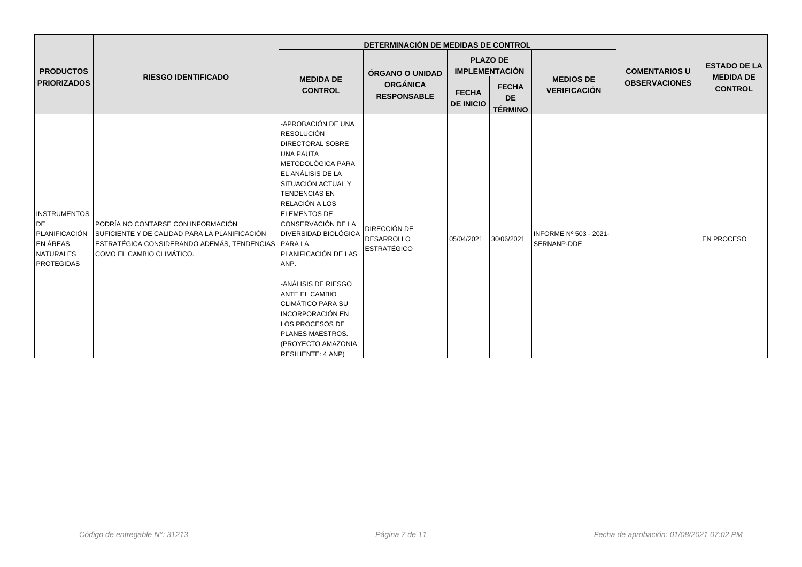|                                                                                          |                                                                                                                                                                         |                                                                                                                                                                                                                                                                                                                                                                                                                                                                                                  | DETERMINACIÓN DE MEDIDAS DE CONTROL                      |                                          |                                             |                                         |                      |                                         |
|------------------------------------------------------------------------------------------|-------------------------------------------------------------------------------------------------------------------------------------------------------------------------|--------------------------------------------------------------------------------------------------------------------------------------------------------------------------------------------------------------------------------------------------------------------------------------------------------------------------------------------------------------------------------------------------------------------------------------------------------------------------------------------------|----------------------------------------------------------|------------------------------------------|---------------------------------------------|-----------------------------------------|----------------------|-----------------------------------------|
| <b>PRODUCTOS</b><br><b>PRIORIZADOS</b>                                                   | <b>RIESGO IDENTIFICADO</b>                                                                                                                                              | <b>MEDIDA DE</b><br><b>CONTROL</b>                                                                                                                                                                                                                                                                                                                                                                                                                                                               | ÓRGANO O UNIDAD<br><b>ORGÁNICA</b><br><b>RESPONSABLE</b> | <b>PLAZO DE</b><br><b>IMPLEMENTACIÓN</b> |                                             |                                         | <b>COMENTARIOS U</b> | <b>ESTADO DE LA</b><br><b>MEDIDA DE</b> |
|                                                                                          |                                                                                                                                                                         |                                                                                                                                                                                                                                                                                                                                                                                                                                                                                                  |                                                          | <b>FECHA</b><br><b>DE INICIO</b>         | <b>FECHA</b><br><b>DE</b><br><b>TÉRMINO</b> | <b>MEDIOS DE</b><br><b>VERIFICACIÓN</b> | <b>OBSERVACIONES</b> | <b>CONTROL</b>                          |
| <b>INSTRUMENTOS</b><br>DE<br>PLANIFICACIÓN<br><b>EN ÁREAS</b><br>NATURALES<br>PROTEGIDAS | PODRÍA NO CONTARSE CON INFORMACIÓN<br>SUFICIENTE Y DE CALIDAD PARA LA PLANIFICACIÓN<br>ESTRATÉGICA CONSIDERANDO ADEMÁS, TENDENCIAS PARA LA<br>COMO EL CAMBIO CLIMÁTICO. | -APROBACIÓN DE UNA<br><b>RESOLUCIÓN</b><br><b>DIRECTORAL SOBRE</b><br>UNA PAUTA<br>METODOLÓGICA PARA<br>EL ANÁLISIS DE LA<br>SITUACIÓN ACTUAL Y<br><b>TENDENCIAS EN</b><br>RELACIÓN A LOS<br><b>ELEMENTOS DE</b><br>CONSERVACIÓN DE LA<br><b>DIVERSIDAD BIOLÓGICA</b><br>PLANIFICACIÓN DE LAS<br>ANP.<br>-ANÁLISIS DE RIESGO<br><b>ANTE EL CAMBIO</b><br> CLIMÁTICO PARA SU<br><b>INCORPORACIÓN EN</b><br>LOS PROCESOS DE<br>PLANES MAESTROS.<br>(PROYECTO AMAZONIA<br><b>RESILIENTE: 4 ANP)</b> | DIRECCIÓN DE<br><b>DESARROLLO</b><br><b>ESTRATÉGICO</b>  | 05/04/2021                               | 30/06/2021                                  | INFORME Nº 503 - 2021-<br>SERNANP-DDE   |                      | <b>EN PROCESO</b>                       |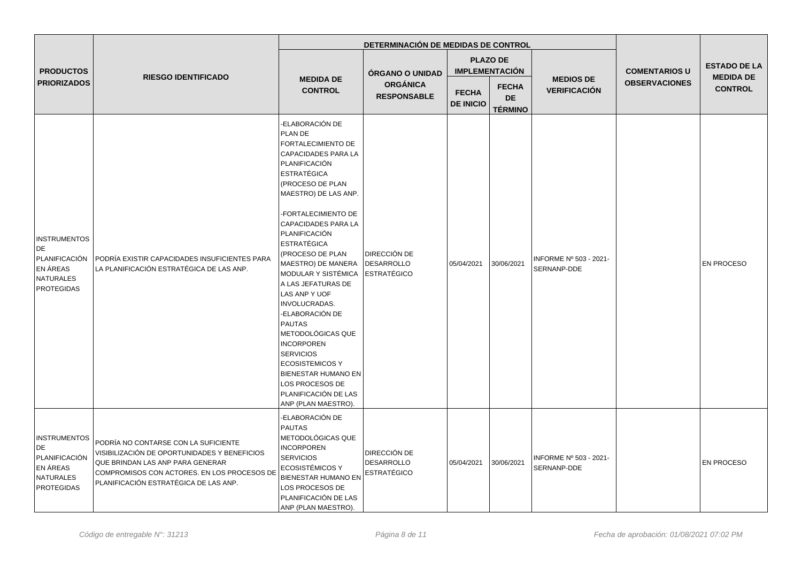|                                                                                          |                                                                                                                                                                                                                  |                                                                                                                                                                                                                                                                                                                                                                                                                                                                                                                                                                                                     | DETERMINACIÓN DE MEDIDAS DE CONTROL                      |                                  |                                             |                                         |                      |                                    |
|------------------------------------------------------------------------------------------|------------------------------------------------------------------------------------------------------------------------------------------------------------------------------------------------------------------|-----------------------------------------------------------------------------------------------------------------------------------------------------------------------------------------------------------------------------------------------------------------------------------------------------------------------------------------------------------------------------------------------------------------------------------------------------------------------------------------------------------------------------------------------------------------------------------------------------|----------------------------------------------------------|----------------------------------|---------------------------------------------|-----------------------------------------|----------------------|------------------------------------|
| <b>PRODUCTOS</b>                                                                         |                                                                                                                                                                                                                  |                                                                                                                                                                                                                                                                                                                                                                                                                                                                                                                                                                                                     |                                                          |                                  | <b>PLAZO DE</b><br><b>IMPLEMENTACIÓN</b>    |                                         | <b>COMENTARIOS U</b> | <b>ESTADO DE LA</b>                |
| <b>PRIORIZADOS</b>                                                                       | <b>RIESGO IDENTIFICADO</b>                                                                                                                                                                                       | <b>MEDIDA DE</b><br><b>CONTROL</b>                                                                                                                                                                                                                                                                                                                                                                                                                                                                                                                                                                  | ÓRGANO O UNIDAD<br><b>ORGÁNICA</b><br><b>RESPONSABLE</b> | <b>FECHA</b><br><b>DE INICIO</b> | <b>FECHA</b><br><b>DE</b><br><b>TÉRMINO</b> | <b>MEDIOS DE</b><br><b>VERIFICACIÓN</b> | <b>OBSERVACIONES</b> | <b>MEDIDA DE</b><br><b>CONTROL</b> |
| <b>INSTRUMENTOS</b><br>DE<br>PLANIFICACIÓN<br>EN ÁREAS<br>NATURALES<br><b>PROTEGIDAS</b> | PODRÍA EXISTIR CAPACIDADES INSUFICIENTES PARA<br>LA PLANIFICACIÓN ESTRATÉGICA DE LAS ANP.                                                                                                                        | ELABORACIÓN DE<br>PLAN DE<br>FORTALECIMIENTO DE<br><b>CAPACIDADES PARA LA</b><br>PLANIFICACIÓN<br><b>ESTRATÉGICA</b><br>(PROCESO DE PLAN<br>MAESTRO) DE LAS ANP.<br>-FORTALECIMIENTO DE<br>CAPACIDADES PARA LA<br>PLANIFICACIÓN<br><b>ESTRATÉGICA</b><br>(PROCESO DE PLAN<br>MAESTRO) DE MANERA<br>MODULAR Y SISTÉMICA<br>A LAS JEFATURAS DE<br>LAS ANP Y UOF<br>INVOLUCRADAS.<br>-ELABORACIÓN DE<br><b>PAUTAS</b><br>METODOLÓGICAS QUE<br><b>INCORPOREN</b><br><b>SERVICIOS</b><br><b>ECOSISTEMICOS Y</b><br>BIENESTAR HUMANO EN<br>LOS PROCESOS DE<br>PLANIFICACIÓN DE LAS<br>ANP (PLAN MAESTRO). | DIRECCIÓN DE<br><b>DESARROLLO</b><br><b>ESTRATÉGICO</b>  | 05/04/2021                       | 30/06/2021                                  | INFORME Nº 503 - 2021-<br>SERNANP-DDE   |                      | <b>EN PROCESO</b>                  |
| <b>INSTRUMENTOS</b><br>DE<br>PLANIFICACIÓN<br>EN ÁREAS<br>NATURALES<br><b>PROTEGIDAS</b> | PODRÍA NO CONTARSE CON LA SUFICIENTE<br>VISIBILIZACIÓN DE OPORTUNIDADES Y BENEFICIOS<br>QUE BRINDAN LAS ANP PARA GENERAR<br>COMPROMISOS CON ACTORES. EN LOS PROCESOS DE<br>PLANIFICACIÓN ESTRATÉGICA DE LAS ANP. | -ELABORACIÓN DE<br><b>PAUTAS</b><br>METODOLÓGICAS QUE<br><b>INCORPOREN</b><br><b>SERVICIOS</b><br><b>ECOSISTÉMICOS Y</b><br><b>BIENESTAR HUMANO EN</b><br>LOS PROCESOS DE<br>PLANIFICACIÓN DE LAS<br>ANP (PLAN MAESTRO).                                                                                                                                                                                                                                                                                                                                                                            | DIRECCIÓN DE<br><b>DESARROLLO</b><br><b>ESTRATÉGICO</b>  | 05/04/2021                       | 30/06/2021                                  | INFORME Nº 503 - 2021-<br>SERNANP-DDE   |                      | <b>EN PROCESO</b>                  |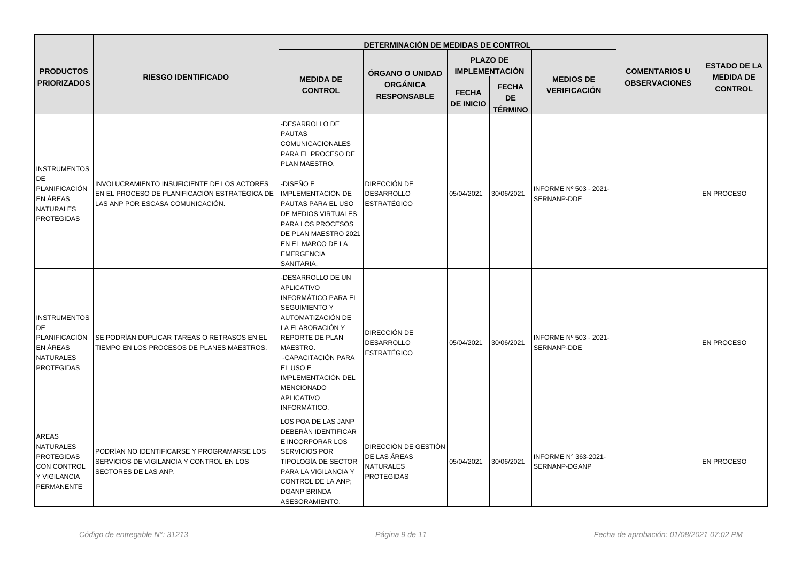|                                                                                                 |                                                                                                                                  |                                                                                                                                                                                                                                                                                                      | DETERMINACIÓN DE MEDIDAS DE CONTROL                                    |                                  |                                             |                                         |                      |                                    |
|-------------------------------------------------------------------------------------------------|----------------------------------------------------------------------------------------------------------------------------------|------------------------------------------------------------------------------------------------------------------------------------------------------------------------------------------------------------------------------------------------------------------------------------------------------|------------------------------------------------------------------------|----------------------------------|---------------------------------------------|-----------------------------------------|----------------------|------------------------------------|
| <b>PRODUCTOS</b>                                                                                |                                                                                                                                  |                                                                                                                                                                                                                                                                                                      | ÓRGANO O UNIDAD                                                        |                                  | <b>PLAZO DE</b><br><b>IMPLEMENTACIÓN</b>    |                                         | <b>COMENTARIOS U</b> | <b>ESTADO DE LA</b>                |
| <b>PRIORIZADOS</b>                                                                              | <b>RIESGO IDENTIFICADO</b>                                                                                                       | <b>MEDIDA DE</b><br><b>ORGÁNICA</b><br><b>CONTROL</b><br><b>RESPONSABLE</b>                                                                                                                                                                                                                          |                                                                        | <b>FECHA</b><br><b>DE INICIO</b> | <b>FECHA</b><br><b>DE</b><br><b>TÉRMINO</b> | <b>MEDIOS DE</b><br><b>VERIFICACIÓN</b> | <b>OBSERVACIONES</b> | <b>MEDIDA DE</b><br><b>CONTROL</b> |
| <b>INSTRUMENTOS</b><br>DE<br>PLANIFICACIÓN<br>EN ÁREAS<br>NATURALES<br>PROTEGIDAS               | INVOLUCRAMIENTO INSUFICIENTE DE LOS ACTORES<br>EN EL PROCESO DE PLANIFICACIÓN ESTRATÉGICA DE<br>LAS ANP POR ESCASA COMUNICACIÓN. | -DESARROLLO DE<br><b>PAUTAS</b><br><b>COMUNICACIONALES</b><br>PARA EL PROCESO DE<br>PLAN MAESTRO.<br>-DISEÑO E<br><b>IMPLEMENTACIÓN DE</b><br>PAUTAS PARA EL USO<br>DE MEDIOS VIRTUALES<br>PARA LOS PROCESOS<br>DE PLAN MAESTRO 2021<br>EN EL MARCO DE LA<br><b>EMERGENCIA</b><br>SANITARIA.         | DIRECCIÓN DE<br><b>DESARROLLO</b><br><b>ESTRATÉGICO</b>                | 05/04/2021                       | 30/06/2021                                  | INFORME Nº 503 - 2021-<br>SERNANP-DDE   |                      | <b>EN PROCESO</b>                  |
| <b>INSTRUMENTOS</b><br>DE<br>PLANIFICACIÓN<br><b>EN ÁREAS</b><br>NATURALES<br><b>PROTEGIDAS</b> | SE PODRÍAN DUPLICAR TAREAS O RETRASOS EN EL<br>TIEMPO EN LOS PROCESOS DE PLANES MAESTROS.                                        | -DESARROLLO DE UN<br><b>APLICATIVO</b><br><b>INFORMÁTICO PARA EL</b><br><b>SEGUIMIENTO Y</b><br>AUTOMATIZACIÓN DE<br>LA ELABORACIÓN Y<br><b>REPORTE DE PLAN</b><br>MAESTRO.<br>-CAPACITACIÓN PARA<br>EL USO E<br><b>IMPLEMENTACIÓN DEL</b><br><b>MENCIONADO</b><br><b>APLICATIVO</b><br>INFORMÁTICO. | DIRECCIÓN DE<br><b>DESARROLLO</b><br><b>ESTRATÉGICO</b>                | 05/04/2021                       | 30/06/2021                                  | INFORME Nº 503 - 2021-<br>SERNANP-DDE   |                      | <b>EN PROCESO</b>                  |
| <b>AREAS</b><br>NATURALES<br><b>PROTEGIDAS</b><br>CON CONTROL<br>Y VIGILANCIA<br>PERMANENTE     | PODRÍAN NO IDENTIFICARSE Y PROGRAMARSE LOS<br>SERVICIOS DE VIGILANCIA Y CONTROL EN LOS<br>SECTORES DE LAS ANP.                   | LOS POA DE LAS JANP<br>DEBERÁN IDENTIFICAR<br>E INCORPORAR LOS<br>SERVICIOS POR<br><b>TIPOLOGÍA DE SECTOR</b><br>PARA LA VIGILANCIA Y<br>CONTROL DE LA ANP;<br><b>DGANP BRINDA</b><br>ASESORAMIENTO.                                                                                                 | DIRECCIÓN DE GESTIÓN<br>DE LAS ÁREAS<br><b>NATURALES</b><br>PROTEGIDAS | 05/04/2021                       | 30/06/2021                                  | INFORME N° 363-2021-<br>SERNANP-DGANP   |                      | <b>EN PROCESO</b>                  |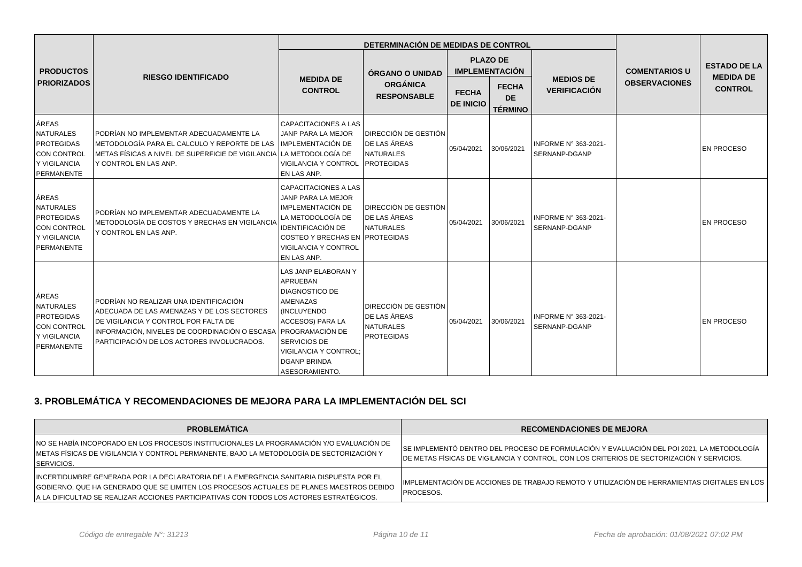|                                                                                      |                                                                                                                                                                                                                                             |                                                                                                                                                                                                                             | DETERMINACIÓN DE MEDIDAS DE CONTROL                                           |                                  |                                             |                                              |                                              |                                                           |
|--------------------------------------------------------------------------------------|---------------------------------------------------------------------------------------------------------------------------------------------------------------------------------------------------------------------------------------------|-----------------------------------------------------------------------------------------------------------------------------------------------------------------------------------------------------------------------------|-------------------------------------------------------------------------------|----------------------------------|---------------------------------------------|----------------------------------------------|----------------------------------------------|-----------------------------------------------------------|
| <b>PRODUCTOS</b>                                                                     | <b>RIESGO IDENTIFICADO</b>                                                                                                                                                                                                                  |                                                                                                                                                                                                                             | <b>ÓRGANO O UNIDAD</b>                                                        |                                  | <b>PLAZO DE</b><br><b>IMPLEMENTACIÓN</b>    |                                              | <b>COMENTARIOS U</b><br><b>OBSERVACIONES</b> | <b>ESTADO DE LA</b><br><b>MEDIDA DE</b><br><b>CONTROL</b> |
| <b>PRIORIZADOS</b>                                                                   |                                                                                                                                                                                                                                             | <b>MEDIDA DE</b><br><b>CONTROL</b>                                                                                                                                                                                          | <b>ORGÁNICA</b><br><b>RESPONSABLE</b>                                         | <b>FECHA</b><br><b>DE INICIO</b> | <b>FECHA</b><br><b>DE</b><br><b>TÉRMINO</b> | <b>MEDIOS DE</b><br><b>VERIFICACIÓN</b>      |                                              |                                                           |
| ÁREAS<br>NATURALES<br><b>PROTEGIDAS</b><br>CON CONTROL<br>Y VIGILANCIA<br>PERMANENTE | PODRÍAN NO IMPLEMENTAR ADECUADAMENTE LA<br>METODOLOGÍA PARA EL CALCULO Y REPORTE DE LAS<br>METAS FÍSICAS A NIVEL DE SUPERFICIE DE VIGILANCIA<br>Y CONTROL EN LAS ANP.                                                                       | CAPACITACIONES A LAS<br>JANP PARA LA MEJOR<br>IMPLEMENTACIÓN DE<br>LA METODOLOGÍA DE<br><b>VIGILANCIA Y CONTROL</b><br>EN LAS ANP.                                                                                          | DIRECCIÓN DE GESTIÓN<br>DE LAS ÁREAS<br><b>NATURALES</b><br><b>PROTEGIDAS</b> | 05/04/2021                       | 30/06/2021                                  | INFORME Nº 363-2021-<br><b>SERNANP-DGANP</b> |                                              | <b>EN PROCESO</b>                                         |
| ÁREAS<br>NATURALES<br><b>PROTEGIDAS</b><br>CON CONTROL<br>Y VIGILANCIA<br>PERMANENTE | PODRÍAN NO IMPLEMENTAR ADECUADAMENTE LA<br>METODOLOGÍA DE COSTOS Y BRECHAS EN VIGILANCIA<br>Y CONTROL EN LAS ANP.                                                                                                                           | CAPACITACIONES A LAS<br>JANP PARA LA MEJOR<br>IMPLEMENTACIÓN DE<br>LA METODOLOGÍA DE<br><b>IDENTIFICACIÓN DE</b><br>COSTEO Y BRECHAS EN PROTEGIDAS<br><b>VIGILANCIA Y CONTROL</b><br>EN LAS ANP.                            | DIRECCIÓN DE GESTIÓN<br>DE LAS ÁREAS<br><b>NATURALES</b>                      | 05/04/2021                       | 30/06/2021                                  | INFORME Nº 363-2021-<br><b>SERNANP-DGANP</b> |                                              | <b>EN PROCESO</b>                                         |
| ÁREAS<br>NATURALES<br><b>PROTEGIDAS</b><br>CON CONTROL<br>Y VIGILANCIA<br>PERMANENTE | PODRÍAN NO REALIZAR UNA IDENTIFICACIÓN<br>ADECUADA DE LAS AMENAZAS Y DE LOS SECTORES<br>DE VIGILANCIA Y CONTROL POR FALTA DE<br>INFORMACIÓN, NIVELES DE COORDINACIÓN O ESCASA PROGRAMACIÓN DE<br>PARTICIPACIÓN DE LOS ACTORES INVOLUCRADOS. | <b>LAS JANP ELABORAN Y</b><br><b>APRUEBAN</b><br><b>DIAGNOSTICO DE</b><br><b>AMENAZAS</b><br><b>INCLUYENDO</b><br>ACCESOS) PARA LA<br>SERVICIOS DE<br><b>VIGILANCIA Y CONTROL:</b><br><b>DGANP BRINDA</b><br>ASESORAMIENTO. | DIRECCIÓN DE GESTIÓN<br>DE LAS ÁREAS<br><b>NATURALES</b><br><b>PROTEGIDAS</b> | 05/04/2021                       | 30/06/2021                                  | INFORME N° 363-2021-<br><b>SERNANP-DGANP</b> |                                              | <b>EN PROCESO</b>                                         |

## **3. PROBLEMÁTICA Y RECOMENDACIONES DE MEJORA PARA LA IMPLEMENTACIÓN DEL SCI**

| <b>PROBLEMÁTICA</b>                                                                                                                                                                                                                                                           | <b>RECOMENDACIONES DE MEJORA</b>                                                                                                                                                       |
|-------------------------------------------------------------------------------------------------------------------------------------------------------------------------------------------------------------------------------------------------------------------------------|----------------------------------------------------------------------------------------------------------------------------------------------------------------------------------------|
| NO SE HABÍA INCOPORADO EN LOS PROCESOS INSTITUCIONALES LA PROGRAMACIÓN Y/O EVALUACIÓN DE<br>METAS FÍSICAS DE VIGILANCIA Y CONTROL PERMANENTE, BAJO LA METODOLOGÍA DE SECTORIZACIÓN Y<br><b>SERVICIOS.</b>                                                                     | SE IMPLEMENTÓ DENTRO DEL PROCESO DE FORMULACIÓN Y EVALUACIÓN DEL POI 2021, LA METODOLOGÍA<br>DE METAS FÍSICAS DE VIGILANCIA Y CONTROL, CON LOS CRITERIOS DE SECTORIZACIÓN Y SERVICIOS. |
| INCERTIDUMBRE GENERADA POR LA DECLARATORIA DE LA EMERGENCIA SANITARIA DISPUESTA POR EL<br>GOBIERNO, QUE HA GENERADO QUE SE LIMITEN LOS PROCESOS ACTUALES DE PLANES MAESTROS DEBIDO<br>A LA DIFICULTAD SE REALIZAR ACCIONES PARTICIPATIVAS CON TODOS LOS ACTORES ESTRATÉGICOS. | IMPLEMENTACIÓN DE ACCIONES DE TRABAJO REMOTO Y UTILIZACIÓN DE HERRAMIENTAS DIGITALES EN LOS<br>PROCESOS.                                                                               |